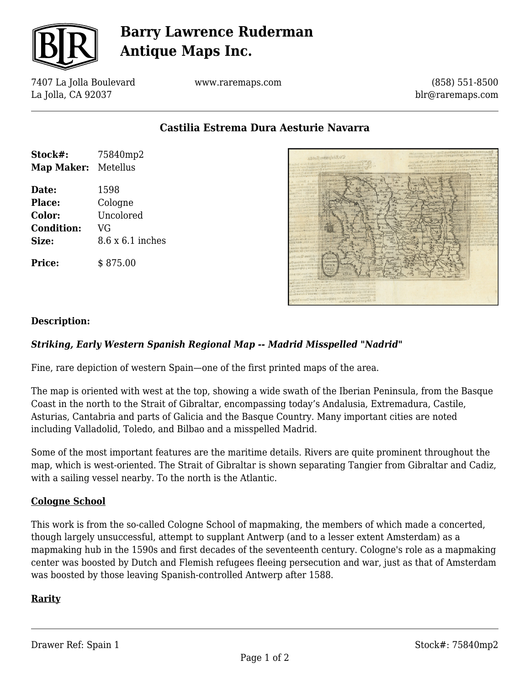

# **Barry Lawrence Ruderman Antique Maps Inc.**

7407 La Jolla Boulevard La Jolla, CA 92037

www.raremaps.com

(858) 551-8500 blr@raremaps.com

**Castilia Estrema Dura Aesturie Navarra**

| Stock#:             | 75840mp2         |
|---------------------|------------------|
| Map Maker: Metellus |                  |
| Date:               | 1598             |
| Place:              | Cologne          |
| Color:              | Uncolored        |
| <b>Condition:</b>   | VG               |
| Size:               | 8.6 x 6.1 inches |
| <b>Price:</b>       | \$875.00         |



### **Description:**

### *Striking, Early Western Spanish Regional Map -- Madrid Misspelled "Nadrid"*

Fine, rare depiction of western Spain—one of the first printed maps of the area.

The map is oriented with west at the top, showing a wide swath of the Iberian Peninsula, from the Basque Coast in the north to the Strait of Gibraltar, encompassing today's Andalusia, Extremadura, Castile, Asturias, Cantabria and parts of Galicia and the Basque Country. Many important cities are noted including Valladolid, Toledo, and Bilbao and a misspelled Madrid.

Some of the most important features are the maritime details. Rivers are quite prominent throughout the map, which is west-oriented. The Strait of Gibraltar is shown separating Tangier from Gibraltar and Cadiz, with a sailing vessel nearby. To the north is the Atlantic.

#### **Cologne School**

This work is from the so-called Cologne School of mapmaking, the members of which made a concerted, though largely unsuccessful, attempt to supplant Antwerp (and to a lesser extent Amsterdam) as a mapmaking hub in the 1590s and first decades of the seventeenth century. Cologne's role as a mapmaking center was boosted by Dutch and Flemish refugees fleeing persecution and war, just as that of Amsterdam was boosted by those leaving Spanish-controlled Antwerp after 1588.

#### **Rarity**